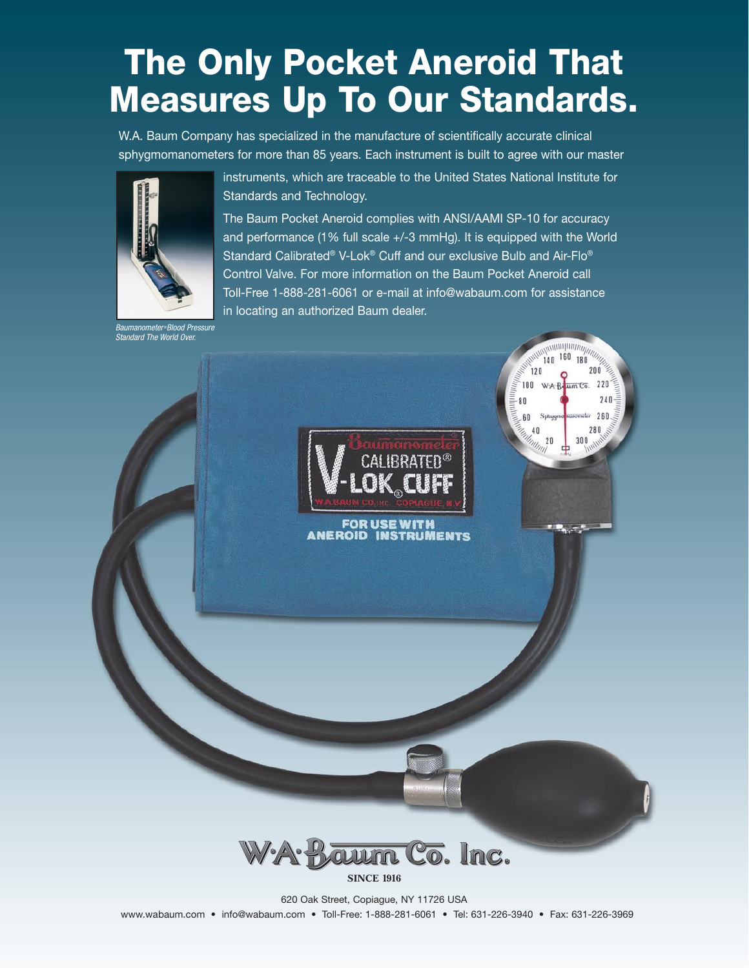# The Only Pocket Aneroid That Measures Up To Our Standards.

W.A. Baum Company has specialized in the manufacture of scientifically accurate clinical sphygmomanometers for more than 85 years. Each instrument is built to agree with our master



d Pressure

instruments, which are traceable to the United States National Institute for Standards and Technology.

The Baum Pocket Aneroid complies with ANSI/AAMI SP-10 for accuracy and performance (1% full scale +/-3 mmHg). It is equipped with the World Standard Calibrated® V-Lok® Cuff and our exclusive Bulb and Air-Flo® Control Valve. For more information on the Baum Pocket Aneroid call Toll-Free 1-888-281-6061 or e-mail at info@wabaum.com for assistance in locating an authorized Baum dealer.



**SINCE 1916**

620 Oak Street, Copiague, NY 11726 USA www.wabaum.com • info@wabaum.com • Toll-Free: 1-888-281-6061 • Tel: 631-226-3940 • Fax: 631-226-3969